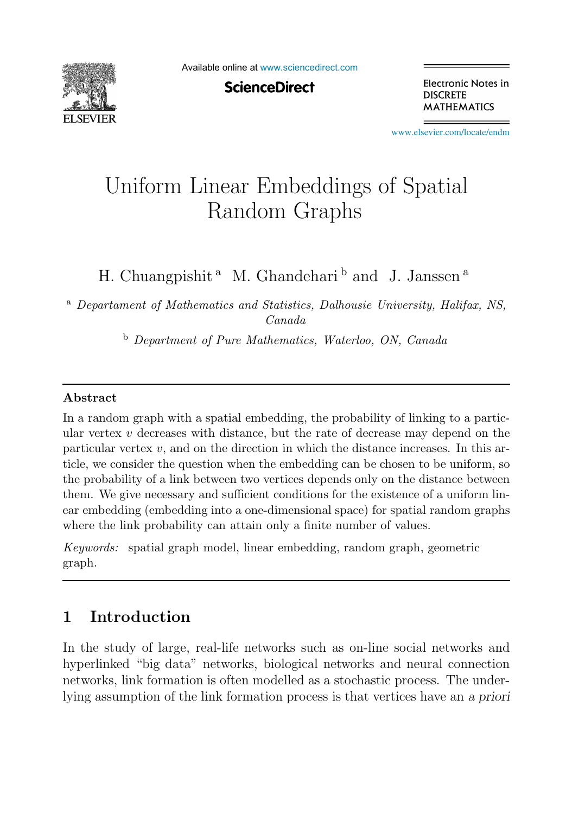

Available online at [www.sciencedirect.com](http://www.sciencedirect.com)

**ScienceDirect** 

Electronic Notes in **DISCRETE MATHEMATICS** 

[www.elsevier.com/locate/endm](http://www.elsevier.com/locate/endm)

# Uniform Linear Embeddings of Spatial Random Graphs

H. Chuangpishit<sup>a</sup> M. Ghandehari<sup>b</sup> and J. Janssen<sup>a</sup>

<sup>a</sup> *Departament of Mathematics and Statistics, Dalhousie University, Halifax, NS, Canada*

<sup>b</sup> *Department of Pure Mathematics, Waterloo, ON, Canada*

#### Abstract

In a random graph with a spatial embedding, the probability of linking to a particular vertex  $v$  decreases with distance, but the rate of decrease may depend on the particular vertex  $v$ , and on the direction in which the distance increases. In this article, we consider the question when the embedding can be chosen to be uniform, so the probability of a link between two vertices depends only on the distance between them. We give necessary and sufficient conditions for the existence of a uniform linear embedding (embedding into a one-dimensional space) for spatial random graphs where the link probability can attain only a finite number of values.

*Keywords:* spatial graph model, linear embedding, random graph, geometric graph.

# 1 Introduction

In the study of large, real-life networks such as on-line social networks and hyperlinked "big data" networks, biological networks and neural connection networks, link formation is often modelled as a stochastic process. The underlying assumption of the link formation process is that vertices have an a priori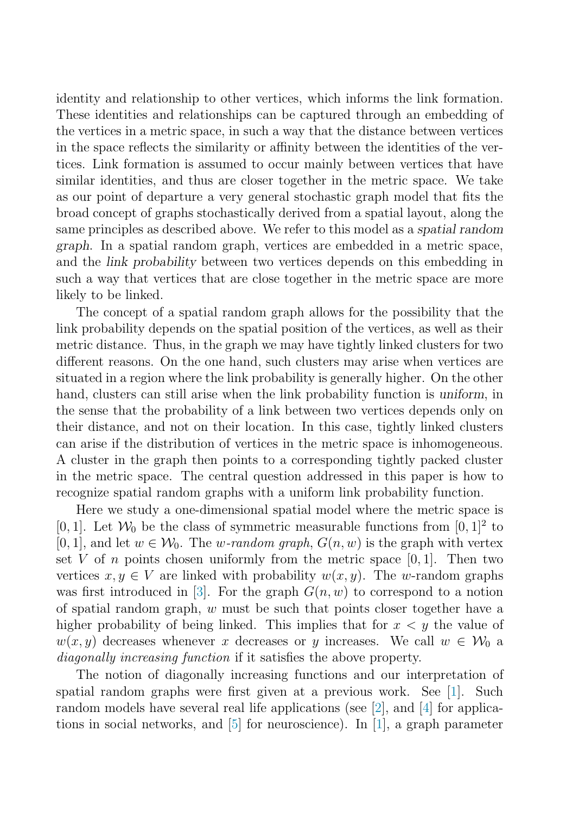identity and relationship to other vertices, which informs the link formation. These identities and relationships can be captured through an embedding of the vertices in a metric space, in such a way that the distance between vertices in the space reflects the similarity or affinity between the identities of the vertices. Link formation is assumed to occur mainly between vertices that have similar identities, and thus are closer together in the metric space. We take as our point of departure a very general stochastic graph model that fits the broad concept of graphs stochastically derived from a spatial layout, along the same principles as described above. We refer to this model as a spatial random graph. In a spatial random graph, vertices are embedded in a metric space, and the link probability between two vertices depends on this embedding in such a way that vertices that are close together in the metric space are more likely to be linked.

The concept of a spatial random graph allows for the possibility that the link probability depends on the spatial position of the vertices, as well as their metric distance. Thus, in the graph we may have tightly linked clusters for two different reasons. On the one hand, such clusters may arise when vertices are situated in a region where the link probability is generally higher. On the other hand, clusters can still arise when the link probability function is uniform, in the sense that the probability of a link between two vertices depends only on their distance, and not on their location. In this case, tightly linked clusters can arise if the distribution of vertices in the metric space is inhomogeneous. A cluster in the graph then points to a corresponding tightly packed cluster in the metric space. The central question addressed in this paper is how to recognize spatial random graphs with a uniform link probability function.

Here we study a one-dimensional spatial model where the metric space is [0, 1]. Let  $\mathcal{W}_0$  be the class of symmetric measurable functions from [0, 1]<sup>2</sup> to [0, 1], and let  $w \in W_0$ . The w-random graph,  $G(n, w)$  is the graph with vertex set V of n points chosen uniformly from the metric space  $[0, 1]$ . Then two vertices  $x, y \in V$  are linked with probability  $w(x, y)$ . The w-random graphs was first introduced in [\[3\]](#page-6-0). For the graph  $G(n, w)$  to correspond to a notion of spatial random graph,  $w$  must be such that points closer together have a higher probability of being linked. This implies that for  $x < y$  the value of  $w(x, y)$  decreases whenever x decreases or y increases. We call  $w \in \mathcal{W}_0$  a *diagonally increasing function* if it satisfies the above property.

The notion of diagonally increasing functions and our interpretation of spatial random graphs were first given at a previous work. See [\[1\]](#page-6-1). Such random models have several real life applications (see [\[2\]](#page-6-2), and [\[4\]](#page-6-3) for applications in social networks, and  $[5]$  for neuroscience). In  $[1]$ , a graph parameter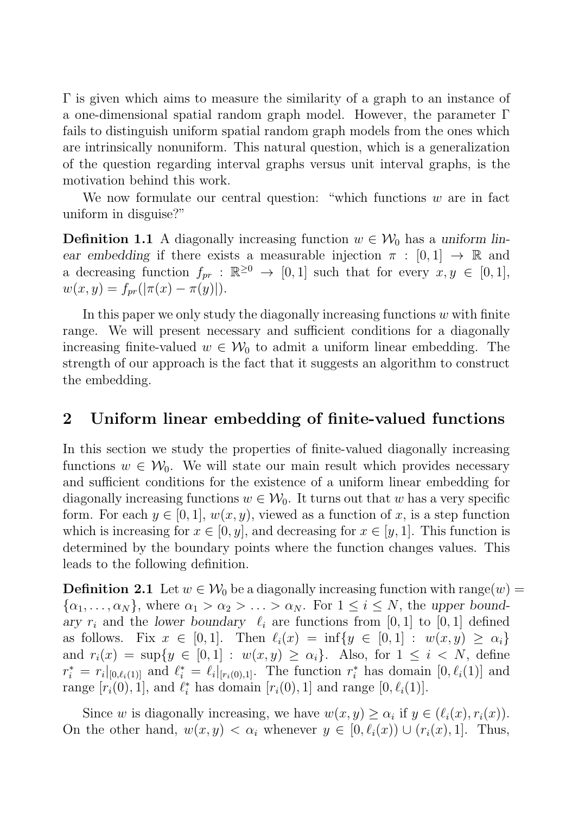Γ is given which aims to measure the similarity of a graph to an instance of a one-dimensional spatial random graph model. However, the parameter Γ fails to distinguish uniform spatial random graph models from the ones which are intrinsically nonuniform. This natural question, which is a generalization of the question regarding interval graphs versus unit interval graphs, is the motivation behind this work.

<span id="page-2-0"></span>We now formulate our central question: "which functions  $w$  are in fact uniform in disguise?"

**Definition 1.1** A diagonally increasing function  $w \in \mathcal{W}_0$  has a uniform linear embedding if there exists a measurable injection  $\pi : [0, 1] \rightarrow \mathbb{R}$  and a decreasing function  $f_{pr}$ :  $\mathbb{R}^{\geq 0} \to [0,1]$  such that for every  $x, y \in [0,1]$ ,  $w(x, y) = f_{pr}(|\pi(x) - \pi(y)|).$ 

In this paper we only study the diagonally increasing functions  $w$  with finite range. We will present necessary and sufficient conditions for a diagonally increasing finite-valued  $w \in W_0$  to admit a uniform linear embedding. The strength of our approach is the fact that it suggests an algorithm to construct the embedding.

## 2 Uniform linear embedding of finite-valued functions

<span id="page-2-1"></span>In this section we study the properties of finite-valued diagonally increasing functions  $w \in \mathcal{W}_0$ . We will state our main result which provides necessary and sufficient conditions for the existence of a uniform linear embedding for diagonally increasing functions  $w \in \mathcal{W}_0$ . It turns out that w has a very specific form. For each  $y \in [0,1], w(x,y)$ , viewed as a function of x, is a step function which is increasing for  $x \in [0, y]$ , and decreasing for  $x \in [y, 1]$ . This function is determined by the boundary points where the function changes values. This leads to the following definition.

**Definition 2.1** Let  $w \in \mathcal{W}_0$  be a diagonally increasing function with range(w) =  $\{\alpha_1, \ldots, \alpha_N\}$ , where  $\alpha_1 > \alpha_2 > \ldots > \alpha_N$ . For  $1 \leq i \leq N$ , the upper boundary  $r_i$  and the lower boundary  $\ell_i$  are functions from [0, 1] to [0, 1] defined as follows. Fix  $x \in [0,1]$ . Then  $\ell_i(x) = \inf\{y \in [0,1] : w(x,y) \geq \alpha_i\}$ and  $r_i(x) = \sup\{y \in [0,1]: w(x,y) \ge \alpha_i\}.$  Also, for  $1 \le i \le N$ , define  $r_i^* = r_i|_{[0,\ell_i(1)]}$  and  $\ell_i^* = \ell_i|_{[r_i(0),1]}$ . The function  $r_i^*$  has domain  $[0,\ell_i(1)]$  and range  $[r_i(0), 1]$ , and  $\ell_i^*$  has domain  $[r_i(0), 1]$  and range  $[0, \ell_i(1)]$ .

Since w is diagonally increasing, we have  $w(x, y) > \alpha_i$  if  $y \in (\ell_i(x), r_i(x)).$ On the other hand,  $w(x, y) < \alpha_i$  whenever  $y \in [0, \ell_i(x)) \cup (r_i(x), 1]$ . Thus,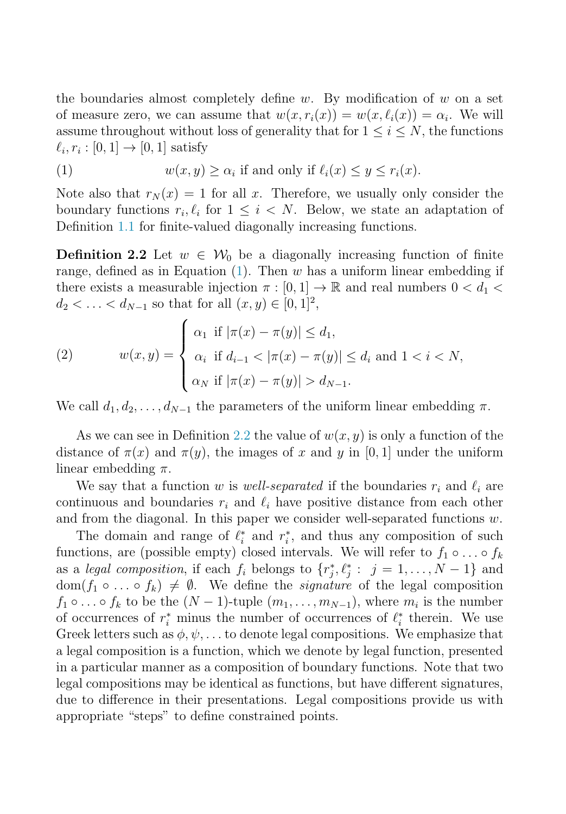<span id="page-3-0"></span>the boundaries almost completely define w. By modification of w on a set of measure zero, we can assume that  $w(x, r_i(x)) = w(x, \ell_i(x)) = \alpha_i$ . We will assume throughout without loss of generality that for  $1 \leq i \leq N$ , the functions  $\ell_i, r_i : [0, 1] \rightarrow [0, 1]$  satisfy

<span id="page-3-1"></span>(1) 
$$
w(x, y) \ge \alpha_i \text{ if and only if } \ell_i(x) \le y \le r_i(x).
$$

Note also that  $r_N(x) = 1$  for all x. Therefore, we usually only consider the boundary functions  $r_i, \ell_i$  for  $1 \leq i \leq N$ . Below, we state an adaptation of Definition [1.1](#page-2-0) for finite-valued diagonally increasing functions.

**Definition 2.2** Let  $w \in \mathcal{W}_0$  be a diagonally increasing function of finite range, defined as in Equation  $(1)$ . Then w has a uniform linear embedding if there exists a measurable injection  $\pi : [0,1] \to \mathbb{R}$  and real numbers  $0 < d_1 <$  $d_2 < \ldots < d_{N-1}$  so that for all  $(x, y) \in [0, 1]^2$ ,

(2) 
$$
w(x,y) = \begin{cases} \alpha_1 & \text{if } |\pi(x) - \pi(y)| \le d_1, \\ \alpha_i & \text{if } d_{i-1} < |\pi(x) - \pi(y)| \le d_i \text{ and } 1 < i < N, \\ \alpha_N & \text{if } |\pi(x) - \pi(y)| > d_{N-1}. \end{cases}
$$

We call  $d_1, d_2, \ldots, d_{N-1}$  the parameters of the uniform linear embedding  $\pi$ .

As we can see in Definition [2.2](#page-3-1) the value of  $w(x, y)$  is only a function of the distance of  $\pi(x)$  and  $\pi(y)$ , the images of x and y in [0, 1] under the uniform linear embedding  $\pi$ .

We say that a function w is *well-separated* if the boundaries  $r_i$  and  $\ell_i$  are continuous and boundaries  $r_i$  and  $\ell_i$  have positive distance from each other and from the diagonal. In this paper we consider well-separated functions  $w$ .

<span id="page-3-2"></span>The domain and range of  $\ell_i^*$  and  $r_i^*$ , and thus any composition of such functions, are (possible empty) closed intervals. We will refer to  $f_1 \circ \ldots \circ f_k$ as a *legal composition*, if each  $f_i$  belongs to  $\{r_j^*, \ell_j^* : j = 1, ..., N - 1\}$  and  $dom(f_1 \circ \ldots \circ f_k) \neq \emptyset$ . We define the *signature* of the legal composition  $f_1 \circ \ldots \circ f_k$  to be the  $(N-1)$ -tuple  $(m_1, \ldots, m_{N-1})$ , where  $m_i$  is the number of occurrences of  $r_i^*$  minus the number of occurrences of  $\ell_i^*$  therein. We use Greek letters such as  $\phi, \psi, \ldots$  to denote legal compositions. We emphasize that a legal composition is a function, which we denote by legal function, presented in a particular manner as a composition of boundary functions. Note that two legal compositions may be identical as functions, but have different signatures, due to difference in their presentations. Legal compositions provide us with appropriate "steps" to define constrained points.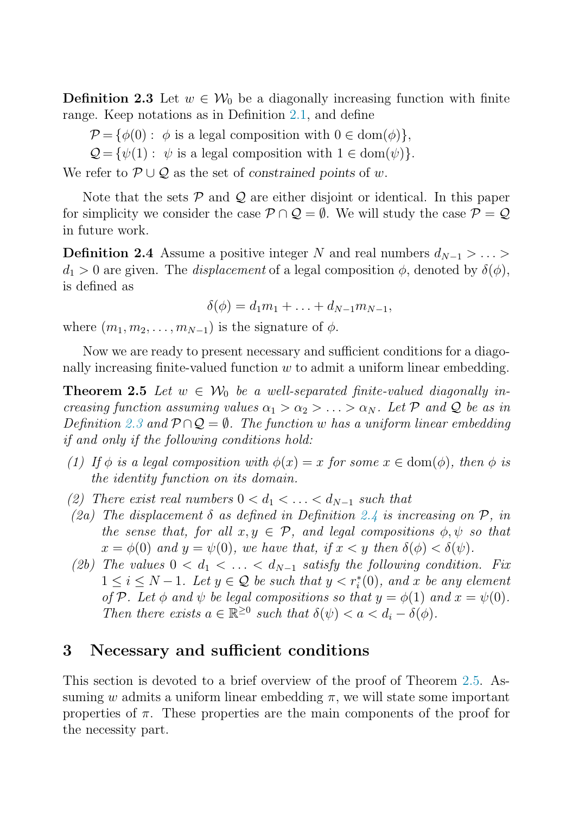**Definition 2.3** Let  $w \in \mathcal{W}_0$  be a diagonally increasing function with finite range. Keep notations as in Definition [2.1,](#page-2-1) and define

- $\mathcal{P} = \{\phi(0): \phi \text{ is a legal composition with } 0 \in \text{dom}(\phi)\},\$
- <span id="page-4-0"></span> $\mathcal{Q} = \{\psi(1): \psi \text{ is a legal composition with } 1 \in \text{dom}(\psi)\}.$

We refer to  $\mathcal{P} \cup \mathcal{Q}$  as the set of constrained points of w.

Note that the sets  $\mathcal P$  and  $\mathcal Q$  are either disjoint or identical. In this paper for simplicity we consider the case  $\mathcal{P} \cap \mathcal{Q} = \emptyset$ . We will study the case  $\mathcal{P} = \mathcal{Q}$ in future work.

**Definition 2.4** Assume a positive integer N and real numbers  $d_{N-1} > ... >$  $d_1 > 0$  are given. The *displacement* of a legal composition  $\phi$ , denoted by  $\delta(\phi)$ , is defined as

 $\delta(\phi) = d_1m_1 + \ldots + d_{N-1}m_{N-1},$ 

<span id="page-4-1"></span>where  $(m_1, m_2, \ldots, m_{N-1})$  is the signature of  $\phi$ .

Now we are ready to present necessary and sufficient conditions for a diagonally increasing finite-valued function  $w$  to admit a uniform linear embedding.

**Theorem 2.5** Let  $w \in \mathcal{W}_0$  be a well-separated finite-valued diagonally in*creasing function assuming values*  $\alpha_1 > \alpha_2 > \ldots > \alpha_N$ . Let P and Q be as in *Definition* [2.3](#page-3-2) and  $P \cap Q = \emptyset$ . The function w has a uniform linear embedding *if and only if the following conditions hold:*

- *(1)* If  $\phi$  *is a legal composition with*  $\phi(x) = x$  *for some*  $x \in \text{dom}(\phi)$ *, then*  $\phi$  *is the identity function on its domain.*
- (2) There exist real numbers  $0 < d_1 < \ldots < d_{N-1}$  such that
- *(2a) The displacement* δ *as defined in Definition [2.4](#page-4-0) is increasing on* P*, in the sense that, for all*  $x, y \in \mathcal{P}$ *, and legal compositions*  $\phi, \psi$  *so that*  $x = \phi(0)$  and  $y = \psi(0)$ , we have that, if  $x \leq y$  then  $\delta(\phi) \leq \delta(\psi)$ .
- *(2b)* The values  $0 < d_1 < \ldots < d_{N-1}$  satisfy the following condition. Fix  $1 ≤ i ≤ N - 1$ *. Let*  $y ∈ Q$  *be such that*  $y < r_i^*(0)$ *, and x be any element of* P*.* Let  $\phi$  *and*  $\psi$  *be legal compositions so that*  $y = \phi(1)$  *and*  $x = \psi(0)$ *. Then there exists*  $a \in \mathbb{R}^{\geq 0}$  *such that*  $\delta(\psi) < a < d_i - \delta(\phi)$ *.*

### 3 Necessary and sufficient conditions

This section is devoted to a brief overview of the proof of Theorem [2.5.](#page-4-1) Assuming w admits a uniform linear embedding  $\pi$ , we will state some important properties of  $\pi$ . These properties are the main components of the proof for the necessity part.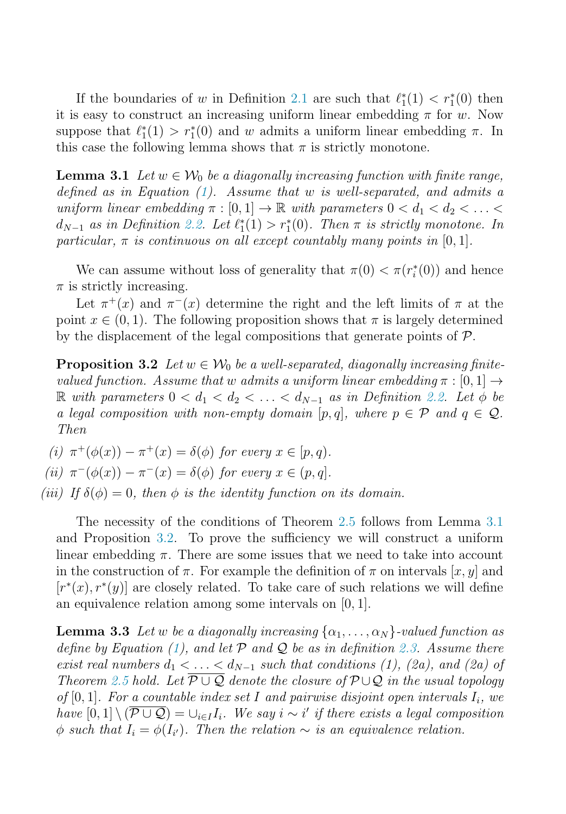<span id="page-5-0"></span>If the boundaries of w in Definition [2.1](#page-2-1) are such that  $\ell_1^*(1) < r_1^*(0)$  then it is easy to construct an increasing uniform linear embedding  $\pi$  for w. Now suppose that  $\ell_1^*(1) > r_1^*(0)$  and w admits a uniform linear embedding  $\pi$ . In this case the following lemma shows that  $\pi$  is strictly monotone.

**Lemma 3.1** Let  $w \in W_0$  be a diagonally increasing function with finite range, *defined as in Equation [\(1\)](#page-3-0). Assume that* w *is well-separated, and admits a uniform linear embedding*  $\pi : [0, 1] \to \mathbb{R}$  *with parameters*  $0 < d_1 < d_2 < \ldots <$  $d_{N-1}$  *as in Definition* [2.2.](#page-3-1) Let  $\ell_1^*(1) > r_1^*(0)$ . Then  $\pi$  *is strictly monotone. In particular,*  $\pi$  *is continuous on all except countably many points in*  $[0, 1]$ *.* 

<span id="page-5-1"></span>We can assume without loss of generality that  $\pi(0) < \pi(r_i^*(0))$  and hence  $\pi$  is strictly increasing.

Let  $\pi^+(x)$  and  $\pi^-(x)$  determine the right and the left limits of  $\pi$  at the point  $x \in (0, 1)$ . The following proposition shows that  $\pi$  is largely determined by the displacement of the legal compositions that generate points of P.

**Proposition 3.2** Let  $w \in \mathcal{W}_0$  be a well-separated, diagonally increasing finite*valued function. Assume that* w *admits a uniform linear embedding*  $\pi$  : [0, 1]  $\rightarrow$ R with parameters  $0 < d_1 < d_2 < \ldots < d_{N-1}$  as in Definition [2.2.](#page-3-1) Let  $\phi$  be *a legal composition with non-empty domain* [p, q], where  $p \in \mathcal{P}$  and  $q \in \mathcal{Q}$ . *Then*

\n- (i) 
$$
\pi^+(\phi(x)) - \pi^+(x) = \delta(\phi)
$$
 for every  $x \in [p, q)$ .
\n- (ii)  $\pi^-(\phi(x)) - \pi^-(x) = \delta(\phi)$  for every  $x \in (p, q]$ .
\n- (iii) If  $\delta(\phi) = 0$ , then  $\phi$  is the identity function on its domain.
\n

<span id="page-5-2"></span>The necessity of the conditions of Theorem [2.5](#page-4-1) follows from Lemma [3.1](#page-5-0) and Proposition [3.2.](#page-5-1) To prove the sufficiency we will construct a uniform linear embedding  $\pi$ . There are some issues that we need to take into account in the construction of  $\pi$ . For example the definition of  $\pi$  on intervals  $[x, y]$  and  $[r^*(x), r^*(y)]$  are closely related. To take care of such relations we will define an equivalence relation among some intervals on [0, 1].

**Lemma 3.3** *Let* w *be a diagonally increasing*  $\{\alpha_1, \ldots, \alpha_N\}$ -valued function as *define by Equation [\(1\)](#page-3-0), and let* P *and* Q *be as in definition [2.3.](#page-3-2) Assume there exist real numbers*  $d_1 < \ldots < d_{N-1}$  *such that conditions (1), (2a), and (2a) of Theorem* [2.5](#page-4-1) *hold.* Let  $\overline{P \cup Q}$  *denote the closure of*  $P \cup Q$  *in the usual topology of* [0, 1]. For a countable index set I and pairwise disjoint open intervals  $I_i$ , we *have*  $[0,1] \setminus (\overline{P \cup Q}) = \bigcup_{i \in I} I_i$ . We say  $i \sim i'$  if there exists a legal composition  $\phi$  *such that*  $I_i = \phi(I_{i'})$ *. Then the relation* ∼ *is an equivalence relation.*